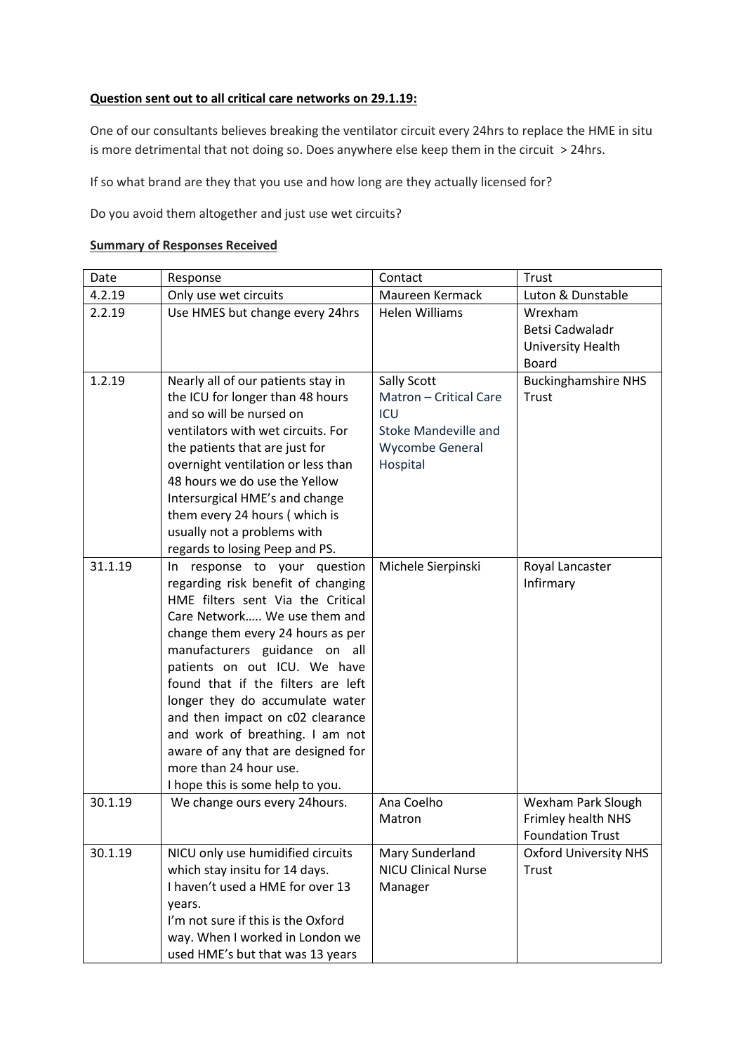## **Question sent out to all critical care networks on 29.1.19:**

One of our consultants believes breaking the ventilator circuit every 24hrs to replace the HME in situ is more detrimental that not doing so. Does anywhere else keep them in the circuit > 24hrs.

If so what brand are they that you use and how long are they actually licensed for?

Do you avoid them altogether and just use wet circuits?

## **Summary of Responses Received**

| Date    | Response                                                                                                                                                                                                                                                                                                                                                                                                                                                                                          | Contact                                                                                                                  | Trust                                                               |
|---------|---------------------------------------------------------------------------------------------------------------------------------------------------------------------------------------------------------------------------------------------------------------------------------------------------------------------------------------------------------------------------------------------------------------------------------------------------------------------------------------------------|--------------------------------------------------------------------------------------------------------------------------|---------------------------------------------------------------------|
| 4.2.19  | Only use wet circuits                                                                                                                                                                                                                                                                                                                                                                                                                                                                             | Maureen Kermack                                                                                                          | Luton & Dunstable                                                   |
| 2.2.19  | Use HMES but change every 24hrs                                                                                                                                                                                                                                                                                                                                                                                                                                                                   | <b>Helen Williams</b>                                                                                                    | Wrexham<br>Betsi Cadwaladr<br>University Health<br><b>Board</b>     |
| 1.2.19  | Nearly all of our patients stay in<br>the ICU for longer than 48 hours<br>and so will be nursed on<br>ventilators with wet circuits. For<br>the patients that are just for<br>overnight ventilation or less than<br>48 hours we do use the Yellow<br>Intersurgical HME's and change<br>them every 24 hours (which is<br>usually not a problems with<br>regards to losing Peep and PS.                                                                                                             | <b>Sally Scott</b><br>Matron - Critical Care<br><b>ICU</b><br><b>Stoke Mandeville and</b><br>Wycombe General<br>Hospital | <b>Buckinghamshire NHS</b><br><b>Trust</b>                          |
| 31.1.19 | In response to your question<br>regarding risk benefit of changing<br>HME filters sent Via the Critical<br>Care Network We use them and<br>change them every 24 hours as per<br>manufacturers guidance on all<br>patients on out ICU. We have<br>found that if the filters are left<br>longer they do accumulate water<br>and then impact on c02 clearance<br>and work of breathing. I am not<br>aware of any that are designed for<br>more than 24 hour use.<br>I hope this is some help to you. | Michele Sierpinski                                                                                                       | Royal Lancaster<br>Infirmary                                        |
| 30.1.19 | We change ours every 24 hours.                                                                                                                                                                                                                                                                                                                                                                                                                                                                    | Ana Coelho<br>Matron                                                                                                     | Wexham Park Slough<br>Frimley health NHS<br><b>Foundation Trust</b> |
| 30.1.19 | NICU only use humidified circuits<br>which stay insitu for 14 days.<br>I haven't used a HME for over 13<br>years.<br>I'm not sure if this is the Oxford<br>way. When I worked in London we<br>used HME's but that was 13 years                                                                                                                                                                                                                                                                    | Mary Sunderland<br><b>NICU Clinical Nurse</b><br>Manager                                                                 | <b>Oxford University NHS</b><br>Trust                               |